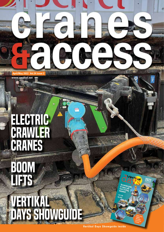**April/May 2022 Vol.24 issue** 

**www.vertikal.net www.vertikal.net**

 $1.1312$ 

# ELECTRIC CRAWLER CRANES

BOOM

**LIFTS** 

# VERTIKAL Days SHOWGUIDE

**Vertikal Days Showguide inside** 

ଡ଼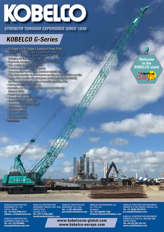

**STRENGTH THROUGH EXPERIENCE SINCE 1930** 

### **KOBELCO G-Series**

- . EU Stage 4 or EU Stage 5 compliant Power Plant.
- . Up to 25% reduction in fuel consumption thanks to G-mode. 3 new Energy Saving Systems from KOBELCO: G-Engine, G-Wrich and Auto-Idle-Stop.
- · Fromonte, luxurious, spacious cab with Joysticks.
- · Endo precision in costituting leads.
- · Univaliad smooth operating comfort.
- o Dual ormo flow for clamshell, brusket or material handling".
- o While, lenge-cenerally wincluss improve spacifing and extend wire roots life.
- o Large, colour monitor with obsequence provides on standing visibility and homediate comprehension of essential operating data.
- o Fast assembly and disassembly.
- o hawaitre, lew weight upper trans and body within an Tenson with.
- · Tachrebroacanders
- · Over-swing preventative device.<sup>•</sup>
- · Machine inclination sensor."
- · Comfarmacht detect system."
- · Effetantifransmrt.
- o Low maintenance.
- · Excellent reliability.
- · Worldwide service.
- <sup>o</sup> aptonal items

KOBELCO CONSTRUCTION<br>MACHINERY MIDDLE EAST AND Sharjah, U.A.E.<br>Tel: +971-4-298-2020

**AFRICA FZCO** 

nezaki.kentaro@kobelco.com

**KOBELCO CONSTRUCTION MACHINERY U.S.A INC.**<br>Tel: +1-281-888-8430 jack.fendrick@kobelco.com

**KOBELCO INTERNATIONAL (S) CO., PTE. LTD. Singapore** Tel: +65-(0)6268-1308 hirakawa.takemichi@kobelco.com

**KOBELCO CONSTRUCTION MACHINERY** EUROPE B.V. FOR EUROPE, RUSSIA, CIS<br>Tel: +31-(0)36-549-5510 jos.verhulst@kobelco.com

**KOBELCO CONSTRUCTION MACHINERY** EUROPE B.V. FOR U.K., IRELAND AND<br>SOUTH AFRICA Tel: +44-(0)1342-301122 mark.evans@kobelco.com

Welcome to the **KOBELCO stand** 



www.kobelcocm-global.com www.kobelco-europe.com

**KOBELCO CONSTRUCTION** MACHINERY CO., LTD. TOKYO, JAPAN Tel: +81-(0)3-5789-2121 intisales cr@kobelconet.com

**KOBELCO CONSTRUCTION** EQUIPMENT INDIA PVT. LTD.<br>Tel: +91-120-4079900 miyashita@kobelconet.com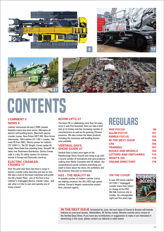







# CONTENTS

### **COMMENT 5 NEWS 6**

Liebherr announces all-new 2,500t crawler, Haulotte enters low level sector, Mecaplus allelectric self-levelling boom, Marchetti electric crawler cranes, New Potain MCT 805, New Grove telecrawler, 100t Liebherr LR 1100.1 crawler, 16ft mast lift from MEC, Electric power for Liebherr LTC 1050-3.1, 'No Oil' Dinglis, Comet spider lift range, New Geda free-standing hoist, Versalift UK takes over Ruthmann distribution, Quinto Cranes calls it a day, Oz safety system for scissors arrives in Europe and financials round-up.

### **Electric crawler cranes 17**

Over the past year there has been a surge in electric crawler crane launches and use on site. We take a look at the latest machines and profile the UK's Select Plant - one of the first to buy Liebherr's Unplugged electric crawler crane - and ask what is it like to own and operate one of these cranes?

### **Boom lifts 27**

The boom lift is celebrating more than 50 years since it was first launched. Here we take a brief look at its history and the increasing number of manufacturers as well as the growing Chinese presence. We also review the latest products including the numerous self-levelling booms now available.

### **Vertikal Days Show Guide 37**

Vertikal Days is back once again at the Peterborough Show Ground and raring to go with a record number of innovations and new products making their World, European and UK debuts. Our comprehensive guide contains everything you need to know about the show, the exhibitors and the products they plan to showcase.

### **HS2 - the reality 95**

A sizeable number of modern crawler cranes are helping construct the UK's HS2 high speed railway, Europe's largest construction project. Nick Johnson reports.

### REGULARS

| <b>IPAF FOCUS</b><br><b>ALLMI FOCUS</b> | 99  |
|-----------------------------------------|-----|
|                                         | 101 |
| <b>PAMSA FOCUS</b>                      | 103 |
| <b>IN THE NEXT ISSUE</b>                | 104 |
| <b>CPA</b>                              | 105 |
| <b>TRAINING</b>                         | 107 |
| <b>BOOKS AND MODELS</b>                 | 109 |
| <b>LETTERS AND OBITUARIES</b>           | 110 |
| <b>WHAT'S ON</b>                        | 115 |
| <b>ONLINE DIRECTORY</b>                 | 118 |
|                                         |     |

### **On the cover**

A new 250 tonne Liebherr LR-1250.1 'Unplugged' crawler crane from Select on charge at the HS2 Old Oak Common site in London. An unimaginable sight just few years ago.



**IN THE NEXT ISSUE** Scheduled for June, the next issue of Cranes & Access will include features on Low level access, Telehandlers, All Terrain cranes, Remote controls and a review of the Vertikal Days Show. If you have any contributions or suggestions to make or are interested in advertising in this issue, please contact our editorial or sales teams.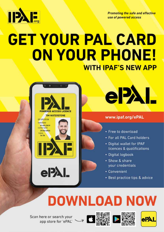

**Promoting the safe and effective** use of powered access

## **GET YOUR PAL CARD** ON YOUR PHONE! **WITH IPAF'S NEW APP**





### www.ipaf.org/ePAL

- Free to download
- . For all PAL Card holders
- Digital wallet for IPAF licences & qualifications
- · Digital logbook
- Show & share your credentials
- Convenient
- Best practice tips & advice

# **DOWNLOAD NOW**

Scan here or search your<br>app store for 'ePAL' >> 日 論論 口器